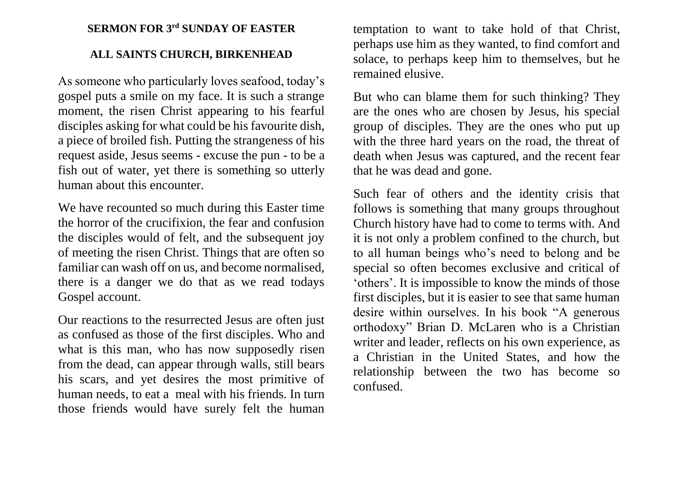## **SERMON FOR 3 rd SUNDAY OF EASTER**

## **ALL SAINTS CHURCH, BIRKENHEAD**

As someone who particularly loves seafood, today's gospel puts a smile on my face. It is such a strange moment, the risen Christ appearing to his fearful disciples asking for what could be his favourite dish, a piece of broiled fish. Putting the strangeness of his request aside, Jesus seems - excuse the pun - to be a fish out of water, yet there is something so utterly human about this encounter.

We have recounted so much during this Easter time the horror of the crucifixion, the fear and confusion the disciples would of felt, and the subsequent joy of meeting the risen Christ. Things that are often so familiar can wash off on us, and become normalised, there is a danger we do that as we read todays Gospel account.

Our reactions to the resurrected Jesus are often just as confused as those of the first disciples. Who and what is this man, who has now supposedly risen from the dead, can appear through walls, still bears his scars, and yet desires the most primitive of human needs, to eat a meal with his friends. In turn those friends would have surely felt the human

temptation to want to take hold of that Christ, perhaps use him as they wanted, to find comfort and solace, to perhaps keep him to themselves, but he remained elusive.

But who can blame them for such thinking? They are the ones who are chosen by Jesus, his special group of disciples. They are the ones who put up with the three hard years on the road, the threat of death when Jesus was captured, and the recent fear that he was dead and gone.

Such fear of others and the identity crisis that follows is something that many groups throughout Church history have had to come to terms with. And it is not only a problem confined to the church, but to all human beings who's need to belong and be special so often becomes exclusive and critical of 'others'. It is impossible to know the minds of those first disciples, but it is easier to see that same human desire within ourselves. In his book "A generous orthodoxy" Brian D. McLaren who is a Christian writer and leader, reflects on his own experience, as a Christian in the United States, and how the relationship between the two has become so confused.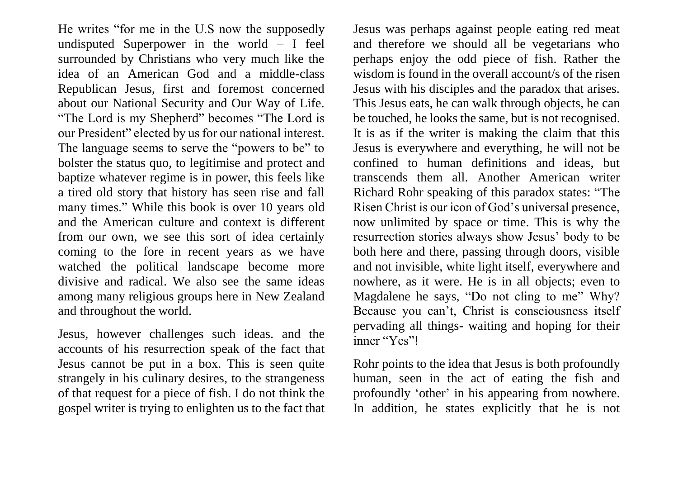He writes "for me in the U.S now the supposedly undisputed Superpower in the world – I feel surrounded by Christians who very much like the idea of an American God and a middle-class Republican Jesus, first and foremost concerned about our National Security and Our Way of Life. "The Lord is my Shepherd" becomes "The Lord is our President" elected by us for our national interest. The language seems to serve the "powers to be" to bolster the status quo, to legitimise and protect and baptize whatever regime is in power, this feels like a tired old story that history has seen rise and fall many times." While this book is over 10 years old and the American culture and context is different from our own, we see this sort of idea certainly coming to the fore in recent years as we have watched the political landscape become more divisive and radical. We also see the same ideas among many religious groups here in New Zealand and throughout the world.

Jesus, however challenges such ideas. and the accounts of his resurrection speak of the fact that Jesus cannot be put in a box. This is seen quite strangely in his culinary desires, to the strangeness of that request for a piece of fish. I do not think the gospel writer is trying to enlighten us to the fact that Jesus was perhaps against people eating red meat and therefore we should all be vegetarians who perhaps enjoy the odd piece of fish. Rather the wisdom is found in the overall account/s of the risen Jesus with his disciples and the paradox that arises. This Jesus eats, he can walk through objects, he can be touched, he looks the same, but is not recognised. It is as if the writer is making the claim that this Jesus is everywhere and everything, he will not be confined to human definitions and ideas, but transcends them all. Another American writer Richard Rohr speaking of this paradox states: "The Risen Christ is our icon of God's universal presence, now unlimited by space or time. This is why the resurrection stories always show Jesus' body to be both here and there, passing through doors, visible and not invisible, white light itself, everywhere and nowhere, as it were. He is in all objects; even to Magdalene he says, "Do not cling to me" Why? Because you can't, Christ is consciousness itself pervading all things- waiting and hoping for their inner "Yes"!

Rohr points to the idea that Jesus is both profoundly human, seen in the act of eating the fish and profoundly 'other' in his appearing from nowhere. In addition, he states explicitly that he is not